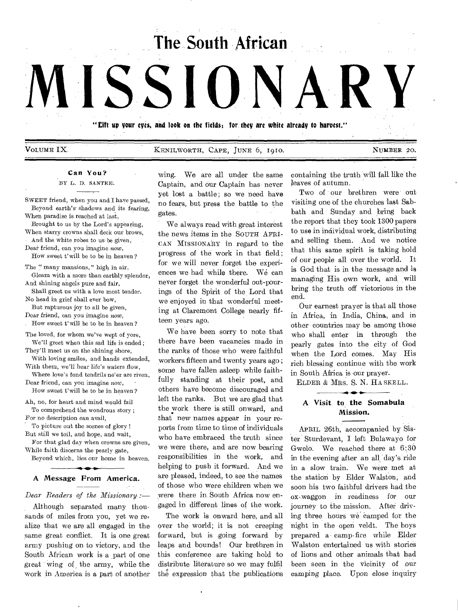**The South African** 

# VOLUME IX. KENILWORTH, CAPE, JUNE 6, 1910. NUMBER 20.

**"Sift up your eyes, and look on the fields; for. they are white already to harvest."** 

# Can You?

**MISSIONARY** 

BY L. D. SANTEE,

SWEET friend, when you and I have passed, Beyond earth's' shadows and its fearing,

When paradise is reached at last, Brought to us by the Lord's appearing,

When starry crowns shall deck our brows, And the white robes to us be given,

Dear friend, can you imagine *now,*  How sweet t'will be to be in heaven?

The " many mansions," high in air,

Gleam with a more than earthly splendor, And shining angels pure and fair,

Shall greet us with a love most tender. No head in grief shall ever bow,

But rapturous joy to all be given, Dear friend, can you imagine now,

How sweet t'will be to be in heaven?

The loved, for whom we've wept of yore, We'll greet when this sad life is ended ;

They'll meet us on the shining shore, With loving smiles, and hands extended,

With them, we'll hear life's waters flow, Where love's fond tendrils ne'er are riven,

Dear friend, can you imagine *now,*  How sweet t'will be to be in heaven'?

Ah, no, for heart and mind would fail To comprehend the wondrous story ;

For no description can avail, To picture out the scenes of glory !

But still we toil, and hope, and wait, For that glad day when crowns are given,

While faith discerns the pearly gate, Beyond which, lies our home in heaven.

# A Message From America.

#### *Dear Readers of the Missionary :—*

*Although* separated many thousands of miles from you, yet we realize that we are all engaged in the same great conflict. It is one great army pushing on to victory, and the South African work is a part of one great wing of the army, while the work in America is a part of another wing. We are all under the same Captain, and our Captain has never yet lost a battle; so we need have no fears, but press the battle to the gates.

We always read with great interest the news *items* in the SOUTH AFRI-CAN MISSIONARY in regard to the progress of the work in that field ; for we will never forget the experiences we had while there. We can never forget the wonderful out-pourings of the Spirit of the Lord that we enjoyed in that wonderful meeting at Claremont College nearly fifteen years ago.

We have been sorry to note that there have been vacancies made in the ranks of those who were faithful workers fifteen and twenty years ago ; some have fallen asleep while faithfully standing at their post, and others have become discouraged and left the ranks. But we are glad that the work there is still onward, and that new names appear in your reports from time to time of individuals who have embraced the truth since we were there, and are now bearing responsibilities in the work, and helping to push it forward. And we are pleased, indeed, to see the names of those who were children when we were there in. South Africa now engaged in different lines of the work.

The work is onward here, and all over the world; it is not creeping forward, but is going forward by leaps and bounds! Our brethren in this conference are taking hold to distribute literature so we may fulfil the expression that the publications

containing the truth will fall like the leaves of autumn.

Two of our brethren were out visiting one of the churches last Sabbath and Sunday and bring back the report that they took 1300 papers to use in individual work, distributing and selling them. And we notice that this same spirit is taking hold of our people all over the world. It is God that is in the message and is managing His own work, and will bring the truth off victorious in the end.

Our earnest prayer is that all those in Africa, in India, China, and in other countries may be among those who shall enter in through the pearly gates into the city of God when the Lord comes. May His rich blessing continue with the work in South Africa is our prayer.

ELDER & MRS. S. N. HA SKELL. **41.0 410** 

# **A Visit to the** Somabula Mission.

APRIL 26th, accompanied by Sister Sturdevant, I left Bulawayo for Gwelo. We reached there at 6:30 in the evening after an all day's ride in a slow train. We were met at the station by Elder Walston, and soon his two faithful drivers had the ox-waggon in readiness for our journey to the mission. After driving three hours we camped for the night in the open veldt. The boys prepared a camp-fire while Elder Walston entertained us with stories of lions and other animals that had been seen in the vicinity of our camping place. Upon close inquiry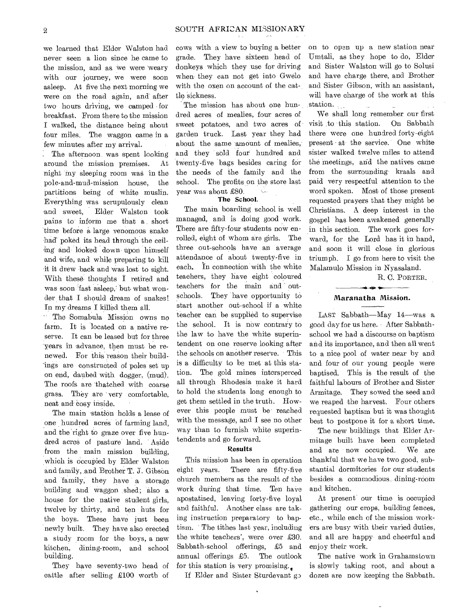we learned that Elder Walston had never seen a lion since he came to the mission, and as we were weary with our journey, we were soon asleep. At five the next morning we were on the road again, and after two hours driving, we camped for breakfast. From there to the mission I walked, the distance being about four miles. The waggon came in a few minutes after my arrival.

The afternoon was spent looking around the mission premises. At night my sleeping room was in the pole-and-mud-mission house, the partitions being of white muslin. Everything was scrupulously clean -and sweet, Elder Walston took pains to inform me that a short time before a large venomous snake had poked its head through the ceiling and looked down upon himself and wife, and while preparing to kill it it drew back and was lost to sight. With these thoughts I retired and was soon fast asleep," but what wonder that I should dream of snakes! In my dreams I killed them all.

' The Somabula Mission owns no farm. It is located on a native reserve. It can be leased but for three years in advance, then must be renewed. For this reason their build--ings are constructed of poles set up on end, daubed with dogger, (mud). The roofs are 'thatched with coarse grass. They are very comfortable, neat and' cosy inside.

The main 'station holds a lease of one hundred acres of farming land, and the right to graze over five hundred acres of pasture land. Aside from the main mission building, which is occupied by Elder Walston and family, and Brother T. 3'. Gibson and family, they have a storage building and waggon shed; also a house for the native student girls, twelve by thirty, and ten huts for the boys. These have just been newly built. They have also erected a study room for the boys, a new kitchen, dining-room, and school building.

They have seventy-two head of cattle after selling £100 worth of

cows with a view to buying a better grade. They have sixteen head of donkeys which they use for driving when they can not get into Gwelo with the oxen on account of the cattle sickness.

The mission has about one hundred acres of mealies, four acres of sweet potatoes, and two acres of garden truck. Last year they had about the same amount of mealies, and they sold four hundred and twenty-five bags besides caring for the needs of the family and the school. The profits on the store last year was about £80.

## The School.

The main boarding school is well managed, and is doing good work. There are fifty-four students now enrolled, eight of whom are girls. The three out-schools have an average attendance of about twenty-five in each, In connection with the white teachers, they have eight coloured teachers for the main and outschools. They have opportunity to start another out-school if a white teacher can be supplied to supervise the school. It is now contrary to the law to have the white superintendent on one reserve looking after the schools on another reserve. This is a difficulty to be met at this station. The gold mines intersperced all through Rhodesia make it hard to hold the students long enough to get them settled in the truth. However this people must be' reached with the message, and I see no other way than to furnish white superintendents and go forward.

#### Results

This mission has been in operation eight years. There are fifty-five church members as the result of the work during that time. Ten have apostatised, leaving forty-five loyal and faithful. Another class are taking instruction preparatory to baptism. The tithes last year, including the white teachers', were over £30. Sabbath-school offerings, £5 and annual offerings £5. The outlook for this station is very promising. $\Box$ 

If Elder and Sister Sturdevant go

on to open up a new station near Umtali, as they hope to do, Elder and Sister Walston will go to Solusi and have charge there, and Brother and Sister Gibson, with an assistant, will have charge of the work at this station.  $\sim 10^{11}$ 

We shall long remember our first visit to this station. On Sabbath there were one hundred forty-eight present at the service. One white sister walked twelve miles to attend the meetings, and the natives came from the surrounding kraals and paid very respectful attention to the word spoken. Most of those present requested prayers that they might be Christians. A deep interest in the gospel has been awakened generally in this section. The work goes forward, for the Lord has it in hand, and soon it will close in glorious triumph. I go from here to visit the Malamulo Mission in Nyasaland.

R. C. PORTER.

## Maranatha Mission.

LAST Sabbath—May 14—was a good day for us here. After Sabbathschool we had a discourse on baptism and its importance, and then all went to a nice pool of water near by and and four of our young people were baptised. This is the result of the faithful labours of Brother and Sister Armitage. They sowed the seed and we reaped the harvest. Four others requested baptism but it was thought best to postpone it for a short time.

The new buildings that Elder Armitage built have been completed and are now occupied. We are thankful that we have two good, substantial dormitories for our students besides a commodious dining-room and kitchen.

At present our time is occupied gathering our crops, building fences, etc., while each of the mission workers are busy with their varied duties, and all are happy and cheerful and enjoy their work.

The native work in Grahamstown is slowly taking root, and about a dozen are now keeping the Sabbath.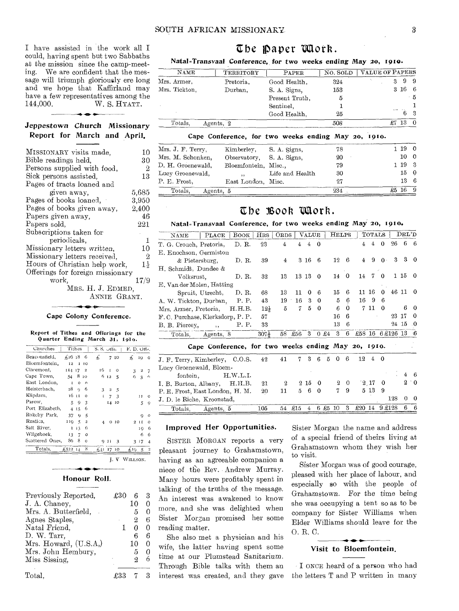I have assisted in the work all I could, having spent but two Sabbaths at the mission since the camp-meeting. We are confident that the message will triumph gloriously ere long and we hope that Kaffirland may have a few representatives among the 144,000. W. S. HYATT. W. S. HYATT.

# *Jeppestown* Church Missionary Report for March and April.

| MISSIONARY visits made,          | 10             |
|----------------------------------|----------------|
| Bible readings held,             | 30             |
| Persons supplied with food,      | 2              |
| Sick persons assisted,           | 13             |
| Pages of tracts loaned and       |                |
| given away.                      | 5,685          |
| Pages of books loaned,           | 3.950          |
| Pages of books given away,       | 2,400          |
| Papers given away,               | 46             |
| Papers sold.                     | 221            |
| Subscriptions taken for          |                |
| periodicals,                     | 1              |
| Missionary letters written,      | 10             |
| Missionary letters received,     | $\overline{2}$ |
| Hours of Christian help work,    |                |
| Offerings for foreign missionary |                |
| work.                            | 17/9           |
| MRS. H. J. EDMED,                |                |
| ANNIE GRANT.                     |                |
|                                  |                |

#### Cape Colony Conference.

#### Report of Tithes and Offerings for the Quarter Ending March 31, 191o.

| Churches        | Tithes                  |          |              | S. S. Offs. |                |                 | F.D.Offs.    |                |          |
|-----------------|-------------------------|----------|--------------|-------------|----------------|-----------------|--------------|----------------|----------|
| Beaconsfield.   | $\pm 26$ 18             |          | 6            | £           |                | 7 10            | £.           | 10             | $\Omega$ |
| Bloemfontein,   | 12                      |          | $I$ $IO$     |             |                |                 |              |                |          |
| Claremont,      | II4 17 2                |          |              | 16.         | $\blacksquare$ | O               | 3            | $\mathbf 2$    | 7        |
| Cape Town,      | 54                      |          | 8 10         |             | 6 12           | 5               | 6            | 3              | 6        |
| East London.    | I                       | $\Omega$ | $\Omega$     |             |                |                 |              |                |          |
| Heisterbach.    | 28                      | $\alpha$ | 6            | 3           | $\overline{2}$ | - 5             |              |                |          |
| Klipdam,        |                         | 16 11    | $\Omega$     | Ţ.          | $\overline{7}$ | - 3             |              | $_{\rm II}$    | $\Omega$ |
| Parow,          | 5                       | 9        | 3            |             |                | 14 10           |              | 5              | 9        |
| Port Elizabeth. | $\overline{\mathbf{4}}$ | 15       | 6            |             |                |                 |              |                |          |
| Rokeby Park,    | 37                      | 9        | 5            |             |                |                 |              | 9              | $\Omega$ |
| Rustica.        | 110                     | 5        | $\mathbf{z}$ | 4           |                | 0 <sub>10</sub> | $\mathbf{r}$ | $\blacksquare$ | $\Omega$ |
| Salt River,     | r                       | 13       | 6            |             |                |                 |              | 19             | 6        |
| Wilgehoek,      | 13                      | 7        | o            |             |                |                 |              | 6              | 6        |
| Scattered Ones. | 86                      | 8        | $\circ$      |             | 011            | 3               |              | 347            | 4        |
| Totals.         | £52214                  |          | 8            | $+11$ 17    |                | 10              | £I9          | -5             |          |

# Honour Roll.

J. V WILLSON.

| Previously Reported,<br>J. A. Chaney, | £30 | 6<br>10 | 3<br>0 |
|---------------------------------------|-----|---------|--------|
| Mrs. A. Butterfield,                  |     | 5       | 0      |
| Agnes Staples,                        |     | 9.      | 6      |
| Natal Friend,                         |     | Ω       | 0      |
| D. W. Tarr,                           |     | 6       | 6      |
| Mrs. Howard, $(U.S.A.)$               |     | 10      | 0      |
| Mrs. John Hembury,                    |     | ā       | 0      |
| Miss Sissing,                         |     | 9.      |        |
| Total.                                |     |         |        |

# The *paper unork*.

## Natal=Transvaal *Conference, for* two weeks ending May 20, 1910.

| NAME          | TERRITORY | PAPER          | NO. SOLD | <b>VALUE OF PAPERS</b> |
|---------------|-----------|----------------|----------|------------------------|
| Mrs. Armer.   | Pretoria. | Good Health,   | 324      | 9                      |
| Mrs. Tickton. | Durban,   | S. A. Signs,   | 153      | $3\,16$<br>-6          |
|               |           | Present Truth. | 5        | - 5                    |
|               |           | Sentinel.      |          |                        |
|               |           | Good Health,   | 25       | 3                      |
| Totals.       | Agents, 2 |                | 508      | £7<br>13               |

#### Cape Conference, for two weeks ending May 20, 1910.

|                      |                 | 78                                                                                                 | 1190            |          |
|----------------------|-----------------|----------------------------------------------------------------------------------------------------|-----------------|----------|
|                      |                 | 20                                                                                                 | 10 <sub>0</sub> |          |
|                      |                 | 79                                                                                                 | 1193            |          |
| $\ddot{\phantom{1}}$ | Life and Health | 30                                                                                                 | 15 0            |          |
|                      |                 | 27                                                                                                 | $13\quad 6$     |          |
|                      |                 | 234                                                                                                |                 | $\Omega$ |
|                      | Agents, 5       | Kimberley, S. A. Signs,<br>Observatory, S. A. Signs.<br>Bloemfontein, Misc.,<br>East London, Misc. |                 |          |

# The Book Work.

# Natal=Transvaal Conference, for two weeks ending May 20, 1910.

| $m_{\rm H}$ , $m_{\rm H}$ , $m_{\rm H}$ , $m_{\rm H}$ , $m_{\rm H}$ , $m_{\rm H}$ , $m_{\rm H}$ , $m_{\rm H}$ , $m_{\rm H}$ |                                                     |          |                  |                |                |                |             |      |                   |             |                |                |                 |       |          |              |
|-----------------------------------------------------------------------------------------------------------------------------|-----------------------------------------------------|----------|------------------|----------------|----------------|----------------|-------------|------|-------------------|-------------|----------------|----------------|-----------------|-------|----------|--------------|
| <b>NAME</b>                                                                                                                 | PLACE                                               | BOOK     | HRS              | <b>ORDS</b>    |                | <b>VALUE</b>   |             |      | <b>HELPS</b>      |             |                | <b>TOTALS</b>  |                 |       | DEL'D    |              |
| T. G. Crouch, Pretoria,                                                                                                     |                                                     | D. R.    | 23               | $\overline{4}$ | $\overline{4}$ | $\overline{4}$ | $\Omega$    |      |                   |             | $\overline{4}$ | $\overline{4}$ | $\Omega$        | 26    | 6        | -6           |
| E. Enochson, Germiston                                                                                                      |                                                     |          |                  |                |                |                |             |      |                   |             |                |                |                 |       |          |              |
| $&$ Pietersburg,                                                                                                            |                                                     | D. R.    | 39               | $\overline{4}$ |                | 3 16           | 6           |      | 12                | 6           | $\overline{4}$ | 9              | $\Omega$ .      | 3     | 3        | $^{\circ}$   |
| H. Schmidt, Dundee &                                                                                                        |                                                     |          |                  |                |                |                |             |      |                   |             |                |                |                 |       |          |              |
| Volksrust,                                                                                                                  |                                                     | D.R.     | 32               | 13             |                | 13 13          | $\theta$    |      | 14                | $\theta$    | 14             | 7              | $\mathbf 0$     |       | 1 15     | 0            |
| E. Van der Molen, Hatting                                                                                                   |                                                     |          |                  |                |                |                |             |      |                   |             |                |                |                 |       |          |              |
|                                                                                                                             | Spruit, Utrecht,                                    | D. R.    | 68               | 13             | 11             | 0              | 6           |      | 15                | 6           | 11             | 16             | 0               | 46 11 |          | 0            |
| A, W. Tickton, Durban,                                                                                                      |                                                     | P. P.    | 43               | 19             | 16             | 3              | $\mathbf 0$ |      | 5                 | 6           | 16             | - 9            | 6               |       |          |              |
| Mrs. Armer, Pretoria,                                                                                                       |                                                     | H.H.B.   | $12\frac{1}{2}$  | 5              | 7              | 5              | $\mathbf 0$ |      | 6                 | 0           |                | 7 11           | 0               |       | 6        | $\Omega$     |
| F.C. Purchase, Klerksdorp, P.P.                                                                                             |                                                     |          | 57               |                |                |                |             |      | 16                | 6           |                |                |                 | 23    | 17       | 0            |
| B. B. Piercey,                                                                                                              | $, \,$                                              | P. P.    | 33               |                |                |                |             |      | 13                | 6           |                |                |                 |       | 24 15    | -0           |
| Totals, Agents, 8                                                                                                           |                                                     |          | 307 <sub>5</sub> | 58             | £56            | 3              |             | 0.24 | 3                 | 6           |                |                | £58 16 6£126 13 |       |          | -6           |
|                                                                                                                             | Cape Conference, for two weeks ending May 20, 1910. |          |                  |                |                |                |             |      |                   |             |                |                |                 |       |          |              |
| J. F. Terry, Kimberley, C.O.S.                                                                                              |                                                     |          | 42               | 41             | 7              | 3              | 6           | 5    | $\mathbf 0$<br>-6 |             | 12             | $\overline{4}$ | - 0             |       |          |              |
| Lucy Groenewald, Bloem-                                                                                                     |                                                     |          |                  |                |                |                |             |      |                   |             |                |                |                 |       |          |              |
| fontein,                                                                                                                    |                                                     | H.W.L.I. |                  |                |                |                |             |      |                   |             |                |                |                 |       | 4        | -6           |
| I. B. Burton, Albany,                                                                                                       |                                                     | H.H.B.   | 21               | $\mathbf{2}$   |                | 215            | 0           |      | $\overline{2}$    | $\mathbf 0$ |                | $2 \t17$       | 0               |       | 2        | $^{\circ}$ 0 |
| P. E. Frost, East London, H. M.                                                                                             |                                                     |          | 20               | 11             | 5.             | 6              | 0           |      | 7                 | 9           |                | 5 13           | 9               |       |          |              |
| J. D. le Riche, Kroonstad,                                                                                                  |                                                     |          |                  |                |                |                |             |      |                   |             |                |                |                 | 128   | $\Omega$ | $\Omega$     |
| Totals, Agents, 5                                                                                                           |                                                     |          | 105              | 54             | £15            | 4              | 6 £5        |      | 10                | 3           |                | £20 14         | 9 £128          |       | 6        | 6            |

## Improved Her Opportunities.

SISTER MORGAN reports a very pleasant journey to Grahamstown, having as an agreeable companion a niece of the Rev. Andrew Murray. Many hours were profitably spent in talking of the truths of the message. An interest was awakened to know more, and she was delighted when Sister Morgan promised her some reading matter.

She also met a physician and his wife, the latter having spent some time at our Plumstead. Sanitarium. Through Bible talks with them an interest was created, and they gave

Sister Morgan the name and address of a special friend of theirs living at Grahamstown whom they wish her to visit.

Sister Morgan was of good courage, pleased with her place of labour, and especially so with the people of Grahamstown. For the time being she was occupying a tent so as to be company for Sister Williams when Elder Williams should leave for the 0. R. C.

#### Visit to Bloemfontein,

I ONCE heard of a person who had the letters T and P written in many